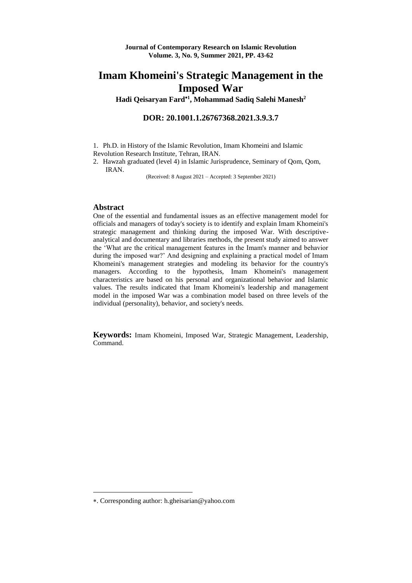**Hadi Qeisaryan Fard<sup>1</sup> , Mohammad Sadiq Salehi Manesh<sup>2</sup>**

**DOR: 20.1001.1.26767368.2021.3.9.3.7**

1. Ph.D. in History of the Islamic Revolution, Imam Khomeini and Islamic Revolution Research Institute, Tehran, IRAN.

2. Hawzah graduated (level 4) in Islamic Jurisprudence, Seminary of Qom, Qom, IRAN.

(Received: 8 August 2021 – Accepted: 3 September 2021)

#### **Abstract**

<u>.</u>

One of the essential and fundamental issues as an effective management model for officials and managers of today's society is to identify and explain Imam Khomeini's strategic management and thinking during the imposed War. With descriptiveanalytical and documentary and libraries methods, the present study aimed to answer the 'What are the critical management features in the Imam's manner and behavior during the imposed war?' And designing and explaining a practical model of Imam Khomeini's management strategies and modeling its behavior for the country's managers. According to the hypothesis, Imam Khomeini's management characteristics are based on his personal and organizational behavior and Islamic values. The results indicated that Imam Khomeini's leadership and management model in the imposed War was a combination model based on three levels of the individual (personality), behavior, and society's needs.

**Keywords:** Imam Khomeini, Imposed War, Strategic Management, Leadership, Command.

<sup>.</sup> Corresponding author: h.gheisarian@yahoo.com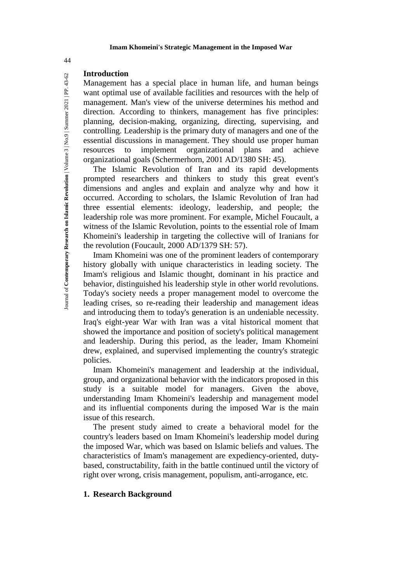### **Introduction**

Management has a special place in human life, and human beings want optimal use of available facilities and resources with the help of management. Man's view of the universe determines his method and direction. According to thinkers, management has five principles: planning, decision-making, organizing, directing, supervising, and controlling. Leadership is the primary duty of managers and one of the essential discussions in management. They should use proper human resources to implement organizational plans and achieve organizational goals (Schermerhorn, 2001 AD/1380 SH: 45).

The Islamic Revolution of Iran and its rapid developments prompted researchers and thinkers to study this great event's dimensions and angles and explain and analyze why and how it occurred. According to scholars, the Islamic Revolution of Iran had three essential elements: ideology, leadership, and people; the leadership role was more prominent. For example, Michel Foucault, a witness of the Islamic Revolution, points to the essential role of Imam Khomeini's leadership in targeting the collective will of Iranians for the revolution (Foucault, 2000 AD/1379 SH: 57).

Imam Khomeini was one of the prominent leaders of contemporary history globally with unique characteristics in leading society. The Imam's religious and Islamic thought, dominant in his practice and behavior, distinguished his leadership style in other world revolutions. Today's society needs a proper management model to overcome the leading crises, so re-reading their leadership and management ideas and introducing them to today's generation is an undeniable necessity. Iraq's eight-year War with Iran was a vital historical moment that showed the importance and position of society's political management and leadership. During this period, as the leader, Imam Khomeini drew, explained, and supervised implementing the country's strategic policies.

Imam Khomeini's management and leadership at the individual, group, and organizational behavior with the indicators proposed in this study is a suitable model for managers. Given the above, understanding Imam Khomeini's leadership and management model and its influential components during the imposed War is the main issue of this research.

The present study aimed to create a behavioral model for the country's leaders based on Imam Khomeini's leadership model during the imposed War, which was based on Islamic beliefs and values. The characteristics of Imam's management are expediency-oriented, dutybased, constructability, faith in the battle continued until the victory of right over wrong, crisis management, populism, anti-arrogance, etc.

### **1. Research Background**

44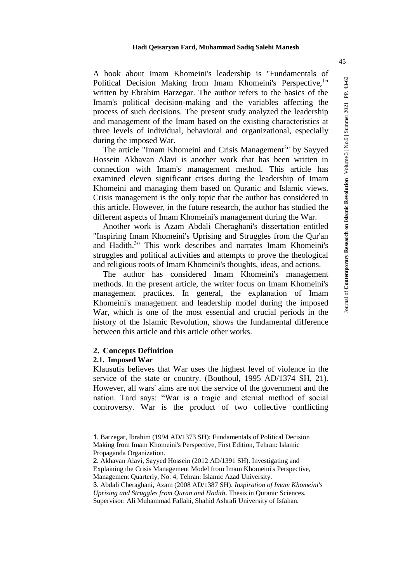A book about Imam Khomeini's leadership is "Fundamentals of Political Decision Making from Imam Khomeini's Perspective,<sup>1</sup>" written by Ebrahim Barzegar. The author refers to the basics of the Imam's political decision-making and the variables affecting the process of such decisions. The present study analyzed the leadership and management of the Imam based on the existing characteristics at three levels of individual, behavioral and organizational, especially during the imposed War.

The article "Imam Khomeini and Crisis Management<sup>2</sup>" by Sayyed Hossein Akhavan Alavi is another work that has been written in connection with Imam's management method. This article has examined eleven significant crises during the leadership of Imam Khomeini and managing them based on Quranic and Islamic views. Crisis management is the only topic that the author has considered in this article. However, in the future research, the author has studied the different aspects of Imam Khomeini's management during the War.

Another work is Azam Abdali Cheraghani's dissertation entitled "Inspiring Imam Khomeini's Uprising and Struggles from the Qur'an and Hadith.<sup>3</sup>" This work describes and narrates Imam Khomeini's struggles and political activities and attempts to prove the theological and religious roots of Imam Khomeini's thoughts, ideas, and actions.

The author has considered Imam Khomeini's management methods. In the present article, the writer focus on Imam Khomeini's management practices. In general, the explanation of Imam Khomeini's management and leadership model during the imposed War, which is one of the most essential and crucial periods in the history of the Islamic Revolution, shows the fundamental difference between this article and this article other works.

### **2. Concepts Definition**

### **2.1. Imposed War**

<u>.</u>

Klausutis believes that War uses the highest level of violence in the service of the state or country. (Bouthoul, 1995 AD/1374 SH, 21). However, all wars' aims are not the service of the government and the nation. Tard says: "War is a tragic and eternal method of social controversy. War is the product of two collective conflicting

<sup>1</sup>. Barzegar, Ibrahim (1994 AD/1373 SH); Fundamentals of Political Decision Making from Imam Khomeini's Perspective, First Edition, Tehran: Islamic Propaganda Organization.

<sup>2</sup>. Akhavan Alavi, Sayyed Hossein (2012 AD/1391 SH). Investigating and Explaining the Crisis Management Model from Imam Khomeini's Perspective, Management Quarterly, No. 4, Tehran: Islamic Azad University.

<sup>3</sup>. Abdali Cheraghani, Azam (2008 AD/1387 SH). *Inspiration of Imam Khomeini's Uprising and Struggles from Quran and Hadith*. Thesis in Quranic Sciences.

Supervisor: Ali Muhammad Fallahi, Shahid Ashrafi University of Isfahan.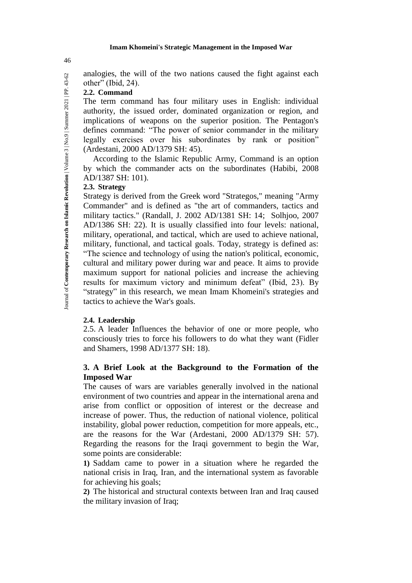analogies, the will of the two nations caused the fight against each other" (Ibid, 24).

### **2.2. Command**

The term command has four military uses in English: individual authority, the issued order, dominated organization or region, and implications of weapons on the superior position. The Pentagon's defines command: "The power of senior commander in the military legally exercises over his subordinates by rank or position" (Ardestani, 2000 AD/1379 SH: 45).

According to the Islamic Republic Army, Command is an option by which the commander acts on the subordinates (Habibi, 2008 AD/1387 SH: 101).

### **2.3. Strategy**

Strategy is derived from the Greek word "Strategos," meaning "Army Commander" and is defined as "the art of commanders, tactics and military tactics." (Randall, J. 2002 AD/1381 SH: 14; Solhjoo, 2007 AD/1386 SH: 22). It is usually classified into four levels: national, military, operational, and tactical, which are used to achieve national, military, functional, and tactical goals. Today, strategy is defined as: "The science and technology of using the nation's political, economic, cultural and military power during war and peace. It aims to provide maximum support for national policies and increase the achieving results for maximum victory and minimum defeat" (Ibid, 23). By "strategy" in this research, we mean Imam Khomeini's strategies and tactics to achieve the War's goals.

### **2.4. Leadership**

2.5. A leader Influences the behavior of one or more people, who consciously tries to force his followers to do what they want (Fidler and Shamers, 1998 AD/1377 SH: 18).

# **3. A Brief Look at the Background to the Formation of the Imposed War**

The causes of wars are variables generally involved in the national environment of two countries and appear in the international arena and arise from conflict or opposition of interest or the decrease and increase of power. Thus, the reduction of national violence, political instability, global power reduction, competition for more appeals, etc., are the reasons for the War (Ardestani, 2000 AD/1379 SH: 57). Regarding the reasons for the Iraqi government to begin the War, some points are considerable:

**1)** Saddam came to power in a situation where he regarded the national crisis in Iraq, Iran, and the international system as favorable for achieving his goals;

**2)** The historical and structural contexts between Iran and Iraq caused the military invasion of Iraq;

46

Journal of Contemporary Research on Islamic Revolution | Volume 3 | No.9 | Summer 2021 | PP. 43-62 Journal of **Contemporary Research on Islamic Revolution** | Volume 3 | No.9 | Summer 2021 | PP. 43-62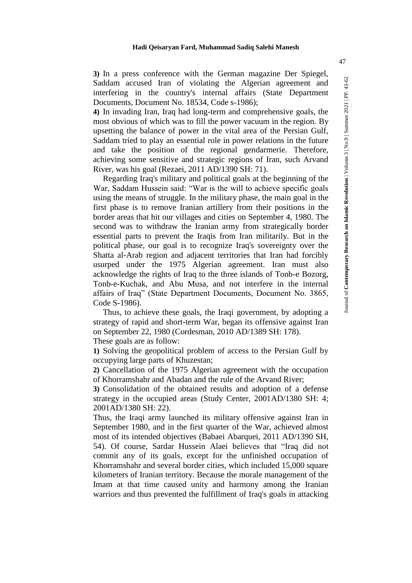**3)** In a press conference with the German magazine Der Spiegel, Saddam accused Iran of violating the Algerian agreement and interfering in the country's internal affairs (State Department Documents, Document No. 18534, Code s-1986);

**4)** In invading Iran, Iraq had long-term and comprehensive goals, the most obvious of which was to fill the power vacuum in the region. By upsetting the balance of power in the vital area of the Persian Gulf, Saddam tried to play an essential role in power relations in the future and take the position of the regional gendarmerie. Therefore, achieving some sensitive and strategic regions of Iran, such Arvand River, was his goal (Rezaei, 2011 AD/1390 SH: 71).

Regarding Iraq's military and political goals at the beginning of the War, Saddam Hussein said: "War is the will to achieve specific goals using the means of struggle. In the military phase, the main goal in the first phase is to remove Iranian artillery from their positions in the border areas that hit our villages and cities on September 4, 1980. The second was to withdraw the Iranian army from strategically border essential parts to prevent the Iraqis from Iran militarily. But in the political phase, our goal is to recognize Iraq's sovereignty over the Shatta al-Arab region and adjacent territories that Iran had forcibly usurped under the 1975 Algerian agreement. Iran must also acknowledge the rights of Iraq to the three islands of Tonb-e Bozorg, Tonb-e-Kuchak, and Abu Musa, and not interfere in the internal affairs of Iraq" (State Department Documents, Document No. 3865, Code S-1986).

Thus, to achieve these goals, the Iraqi government, by adopting a strategy of rapid and short-term War, began its offensive against Iran on September 22, 1980 (Cordesman, 2010 AD/1389 SH: 178). These goals are as follow:

**1)** Solving the geopolitical problem of access to the Persian Gulf by occupying large parts of Khuzestan;

**2)** Cancellation of the 1975 Algerian agreement with the occupation of Khorramshahr and Abadan and the rule of the Arvand River;

**3)** Consolidation of the obtained results and adoption of a defense strategy in the occupied areas (Study Center, 2001AD/1380 SH: 4; 2001AD/1380 SH: 22).

Thus, the Iraqi army launched its military offensive against Iran in September 1980, and in the first quarter of the War, achieved almost most of its intended objectives (Babaei Abarquei, 2011 AD/1390 SH, 54). Of course, Sardar Hussein Alaei believes that "Iraq did not commit any of its goals, except for the unfinished occupation of Khorramshahr and several border cities, which included 15,000 square kilometers of Iranian territory. Because the morale management of the Imam at that time caused unity and harmony among the Iranian warriors and thus prevented the fulfillment of Iraq's goals in attacking Journal of **Contemporary Research on Islamic Revolution** | Volume 3 | No.9 | Summer 2021 | PP. 43-62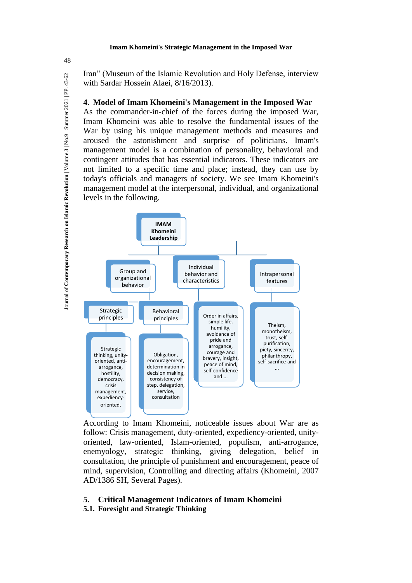Iran" (Museum of the Islamic Revolution and Holy Defense, interview with Sardar Hossein Alaei, 8/16/2013).

# **4. Model of Imam Khomeini's Management in the Imposed War**

As the commander-in-chief of the forces during the imposed War, Imam Khomeini was able to resolve the fundamental issues of the War by using his unique management methods and measures and aroused the astonishment and surprise of politicians. Imam's management model is a combination of personality, behavioral and contingent attitudes that has essential indicators. These indicators are not limited to a specific time and place; instead, they can use by today's officials and managers of society. We see Imam Khomeini's management model at the interpersonal, individual, and organizational levels in the following.



According to Imam Khomeini, noticeable issues about War are as follow: Crisis management, duty-oriented, expediency-oriented, unityoriented, law-oriented, Islam-oriented, populism, anti-arrogance, enemyology, strategic thinking, giving delegation, belief in consultation, the principle of punishment and encouragement, peace of mind, supervision, Controlling and directing affairs (Khomeini, 2007 AD/1386 SH, Several Pages).

# **5. Critical Management Indicators of Imam Khomeini**

**5.1. Foresight and Strategic Thinking**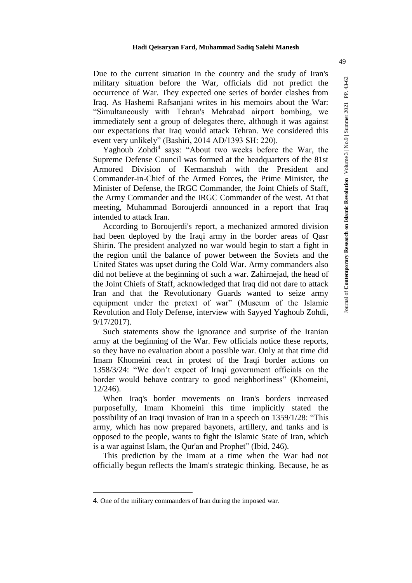Due to the current situation in the country and the study of Iran's military situation before the War, officials did not predict the occurrence of War. They expected one series of border clashes from Iraq. As Hashemi Rafsanjani writes in his memoirs about the War: "Simultaneously with Tehran's Mehrabad airport bombing, we immediately sent a group of delegates there, although it was against our expectations that Iraq would attack Tehran. We considered this event very unlikely" (Bashiri, 2014 AD/1393 SH: 220).

Yaghoub Zohdi<sup>4</sup> says: "About two weeks before the War, the Supreme Defense Council was formed at the headquarters of the 81st Armored Division of Kermanshah with the President and Commander-in-Chief of the Armed Forces, the Prime Minister, the Minister of Defense, the IRGC Commander, the Joint Chiefs of Staff, the Army Commander and the IRGC Commander of the west. At that meeting, Muhammad Boroujerdi announced in a report that Iraq intended to attack Iran.

According to Boroujerdi's report, a mechanized armored division had been deployed by the Iraqi army in the border areas of Qasr Shirin. The president analyzed no war would begin to start a fight in the region until the balance of power between the Soviets and the United States was upset during the Cold War. Army commanders also did not believe at the beginning of such a war. Zahirnejad, the head of the Joint Chiefs of Staff, acknowledged that Iraq did not dare to attack Iran and that the Revolutionary Guards wanted to seize army equipment under the pretext of war" (Museum of the Islamic Revolution and Holy Defense, interview with Sayyed Yaghoub Zohdi, 9/17/2017).

Such statements show the ignorance and surprise of the Iranian army at the beginning of the War. Few officials notice these reports, so they have no evaluation about a possible war. Only at that time did Imam Khomeini react in protest of the Iraqi border actions on 1358/3/24: "We don't expect of Iraqi government officials on the border would behave contrary to good neighborliness" (Khomeini, 12/246).

When Iraq's border movements on Iran's borders increased purposefully, Imam Khomeini this time implicitly stated the possibility of an Iraqi invasion of Iran in a speech on 1359/1/28: "This army, which has now prepared bayonets, artillery, and tanks and is opposed to the people, wants to fight the Islamic State of Iran, which is a war against Islam, the Qur'an and Prophet" (Ibid, 246).

This prediction by the Imam at a time when the War had not officially begun reflects the Imam's strategic thinking. Because, he as

1

Journal of **Contemporary Research on Islamic Revolution** | Volume 3 | No.9 | Summer 2021 | PP. 43-62

<sup>4</sup>. One of the military commanders of Iran during the imposed war.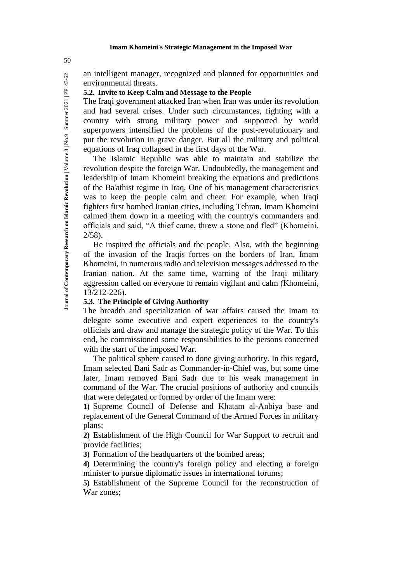an intelligent manager, recognized and planned for opportunities and Journal of Contemporary Research on Islamic Revolution | Volume 3 | No.9 | Summer 2021 | PP. 43-62 Journal of **Contemporary Research on Islamic Revolution** | Volume 3 | No.9 | Summer 2021 | PP. 43-62 environmental threats.

# **5.2. Invite to Keep Calm and Message to the People**

The Iraqi government attacked Iran when Iran was under its revolution and had several crises. Under such circumstances, fighting with a country with strong military power and supported by world superpowers intensified the problems of the post-revolutionary and put the revolution in grave danger. But all the military and political equations of Iraq collapsed in the first days of the War.

The Islamic Republic was able to maintain and stabilize the revolution despite the foreign War. Undoubtedly, the management and leadership of Imam Khomeini breaking the equations and predictions of the Ba'athist regime in Iraq. One of his management characteristics was to keep the people calm and cheer. For example, when Iraqi fighters first bombed Iranian cities, including Tehran, Imam Khomeini calmed them down in a meeting with the country's commanders and officials and said, "A thief came, threw a stone and fled" (Khomeini, 2/58).

He inspired the officials and the people. Also, with the beginning of the invasion of the Iraqis forces on the borders of Iran, Imam Khomeini, in numerous radio and television messages addressed to the Iranian nation. At the same time, warning of the Iraqi military aggression called on everyone to remain vigilant and calm (Khomeini, 13/212-226).

# **5.3. The Principle of Giving Authority**

The breadth and specialization of war affairs caused the Imam to delegate some executive and expert experiences to the country's officials and draw and manage the strategic policy of the War. To this end, he commissioned some responsibilities to the persons concerned with the start of the imposed War.

The political sphere caused to done giving authority. In this regard, Imam selected Bani Sadr as Commander-in-Chief was, but some time later, Imam removed Bani Sadr due to his weak management in command of the War. The crucial positions of authority and councils that were delegated or formed by order of the Imam were:

**1)** Supreme Council of Defense and Khatam al-Anbiya base and replacement of the General Command of the Armed Forces in military plans;

**2)** Establishment of the High Council for War Support to recruit and provide facilities;

**3)** Formation of the headquarters of the bombed areas;

**4)** Determining the country's foreign policy and electing a foreign minister to pursue diplomatic issues in international forums;

**5)** Establishment of the Supreme Council for the reconstruction of War zones;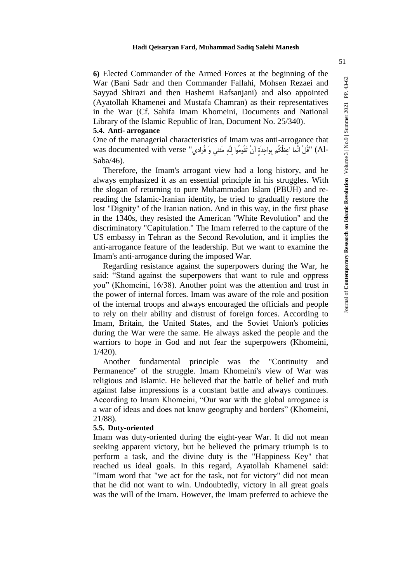51

**6)** Elected Commander of the Armed Forces at the beginning of the War (Bani Sadr and then Commander Fallahi, Mohsen Rezaei and Sayyad Shirazi and then Hashemi Rafsanjani) and also appointed (Ayatollah Khamenei and Mustafa Chamran) as their representatives in the War (Cf. Sahifa Imam Khomeini, Documents and National Library of the Islamic Republic of Iran, Document No. 25/340). **5.4. Anti- arrogance**

One of the managerial characteristics of Imam was anti-arrogance that was documented with verse "فَلْ انَّما اعِظُكُم بِواحِدَةٍ أنْ تَقُومُوا لِلّهِ مَثني وَ فُرادي" (Al-<br>Saba/46).

Therefore, the Imam's arrogant view had a long history, and he always emphasized it as an essential principle in his struggles. With the slogan of returning to pure Muhammadan Islam (PBUH) and rereading the Islamic-Iranian identity, he tried to gradually restore the lost "Dignity" of the Iranian nation. And in this way, in the first phase in the 1340s, they resisted the American "White Revolution" and the discriminatory "Capitulation." The Imam referred to the capture of the US embassy in Tehran as the Second Revolution, and it implies the anti-arrogance feature of the leadership. But we want to examine the Imam's anti-arrogance during the imposed War.

Regarding resistance against the superpowers during the War, he said: "Stand against the superpowers that want to rule and oppress you" (Khomeini, 16/38). Another point was the attention and trust in the power of internal forces. Imam was aware of the role and position of the internal troops and always encouraged the officials and people to rely on their ability and distrust of foreign forces. According to Imam, Britain, the United States, and the Soviet Union's policies during the War were the same. He always asked the people and the warriors to hope in God and not fear the superpowers (Khomeini, 1/420).

Another fundamental principle was the "Continuity and Permanence" of the struggle. Imam Khomeini's view of War was religious and Islamic. He believed that the battle of belief and truth against false impressions is a constant battle and always continues. According to Imam Khomeini, "Our war with the global arrogance is a war of ideas and does not know geography and borders" (Khomeini, 21/88).

### **5.5. Duty-oriented**

Imam was duty-oriented during the eight-year War. It did not mean seeking apparent victory, but he believed the primary triumph is to perform a task, and the divine duty is the "Happiness Key" that reached us ideal goals. In this regard, Ayatollah Khamenei said: "Imam word that "we act for the task, not for victory" did not mean that he did not want to win. Undoubtedly, victory in all great goals was the will of the Imam. However, the Imam preferred to achieve the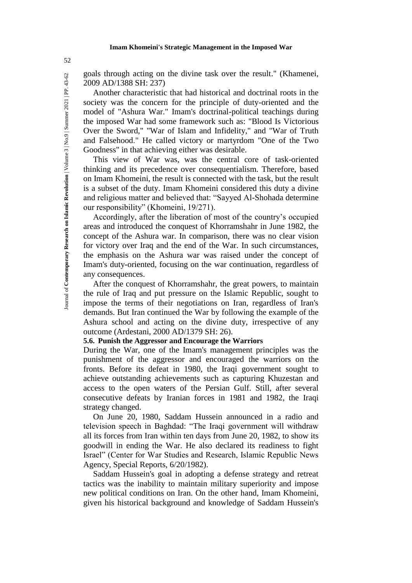goals through acting on the divine task over the result." (Khamenei, 2009 AD/1388 SH: 237)

Another characteristic that had historical and doctrinal roots in the society was the concern for the principle of duty-oriented and the model of "Ashura War." Imam's doctrinal-political teachings during the imposed War had some framework such as: "Blood Is Victorious Over the Sword," "War of Islam and Infidelity," and "War of Truth and Falsehood." He called victory or martyrdom "One of the Two Goodness" in that achieving either was desirable.

This view of War was, was the central core of task-oriented thinking and its precedence over consequentialism. Therefore, based on Imam Khomeini, the result is connected with the task, but the result is a subset of the duty. Imam Khomeini considered this duty a divine and religious matter and believed that: "Sayyed Al-Shohada determine our responsibility" (Khomeini, 19/271).

Accordingly, after the liberation of most of the country's occupied areas and introduced the conquest of Khorramshahr in June 1982, the concept of the Ashura war. In comparison, there was no clear vision for victory over Iraq and the end of the War. In such circumstances, the emphasis on the Ashura war was raised under the concept of Imam's duty-oriented, focusing on the war continuation, regardless of any consequences.

After the conquest of Khorramshahr, the great powers, to maintain the rule of Iraq and put pressure on the Islamic Republic, sought to impose the terms of their negotiations on Iran, regardless of Iran's demands. But Iran continued the War by following the example of the Ashura school and acting on the divine duty, irrespective of any outcome (Ardestani, 2000 AD/1379 SH: 26).

### **5.6. Punish the Aggressor and Encourage the Warriors**

During the War, one of the Imam's management principles was the punishment of the aggressor and encouraged the warriors on the fronts. Before its defeat in 1980, the Iraqi government sought to achieve outstanding achievements such as capturing Khuzestan and access to the open waters of the Persian Gulf. Still, after several consecutive defeats by Iranian forces in 1981 and 1982, the Iraqi strategy changed.

On June 20, 1980, Saddam Hussein announced in a radio and television speech in Baghdad: "The Iraqi government will withdraw all its forces from Iran within ten days from June 20, 1982, to show its goodwill in ending the War. He also declared its readiness to fight Israel" (Center for War Studies and Research, Islamic Republic News Agency, Special Reports, 6/20/1982).

Saddam Hussein's goal in adopting a defense strategy and retreat tactics was the inability to maintain military superiority and impose new political conditions on Iran. On the other hand, Imam Khomeini, given his historical background and knowledge of Saddam Hussein's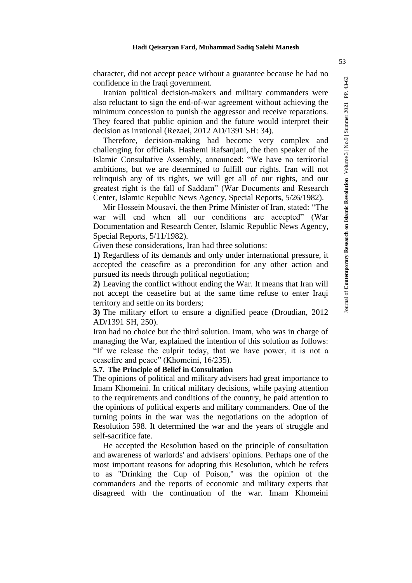character, did not accept peace without a guarantee because he had no confidence in the Iraqi government.

Iranian political decision-makers and military commanders were also reluctant to sign the end-of-war agreement without achieving the minimum concession to punish the aggressor and receive reparations. They feared that public opinion and the future would interpret their decision as irrational (Rezaei, 2012 AD/1391 SH: 34).

Therefore, decision-making had become very complex and challenging for officials. Hashemi Rafsanjani, the then speaker of the Islamic Consultative Assembly, announced: "We have no territorial ambitions, but we are determined to fulfill our rights. Iran will not relinquish any of its rights, we will get all of our rights, and our greatest right is the fall of Saddam" (War Documents and Research Center, Islamic Republic News Agency, Special Reports, 5/26/1982).

Mir Hossein Mousavi, the then Prime Minister of Iran, stated: "The war will end when all our conditions are accepted" (War Documentation and Research Center, Islamic Republic News Agency, Special Reports, 5/11/1982).

Given these considerations, Iran had three solutions:

**1)** Regardless of its demands and only under international pressure, it accepted the ceasefire as a precondition for any other action and pursued its needs through political negotiation;

**2)** Leaving the conflict without ending the War. It means that Iran will not accept the ceasefire but at the same time refuse to enter Iraqi territory and settle on its borders;

**3)** The military effort to ensure a dignified peace (Droudian, 2012 AD/1391 SH, 250).

Iran had no choice but the third solution. Imam, who was in charge of managing the War, explained the intention of this solution as follows: "If we release the culprit today, that we have power, it is not a ceasefire and peace" (Khomeini, 16/235).

**5.7. The Principle of Belief in Consultation**

The opinions of political and military advisers had great importance to Imam Khomeini. In critical military decisions, while paying attention to the requirements and conditions of the country, he paid attention to the opinions of political experts and military commanders. One of the turning points in the war was the negotiations on the adoption of Resolution 598. It determined the war and the years of struggle and self-sacrifice fate.

He accepted the Resolution based on the principle of consultation and awareness of warlords' and advisers' opinions. Perhaps one of the most important reasons for adopting this Resolution, which he refers to as "Drinking the Cup of Poison," was the opinion of the commanders and the reports of economic and military experts that disagreed with the continuation of the war. Imam Khomeini

Journal of **Contemporary Research on Islamic Revolution** | Volume 3 | No.9 | Summer 2021 | PP. 43-62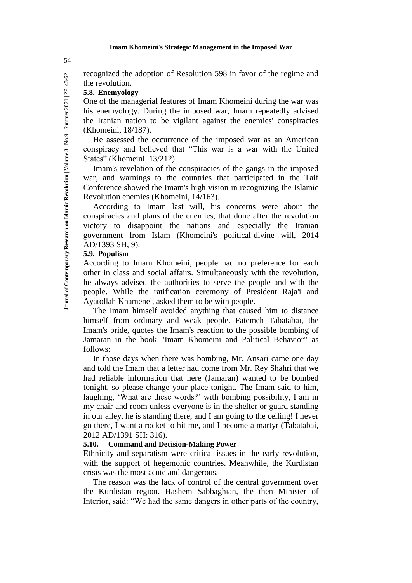Journal of **Contemporary Research on Islamic Revolution** | Volume 3 | No.9 | Summer 2021 | PP. 43-62 recognized the adoption of Resolution 598 in favor of the regime and the revolution.

# **5.8. Enemyology**

One of the managerial features of Imam Khomeini during the war was his enemyology. During the imposed war, Imam repeatedly advised the Iranian nation to be vigilant against the enemies' conspiracies (Khomeini, 18/187).

He assessed the occurrence of the imposed war as an American conspiracy and believed that "This war is a war with the United States" (Khomeini, 13/212).

Imam's revelation of the conspiracies of the gangs in the imposed war, and warnings to the countries that participated in the Taif Conference showed the Imam's high vision in recognizing the Islamic Revolution enemies (Khomeini, 14/163).

According to Imam last will, his concerns were about the conspiracies and plans of the enemies, that done after the revolution victory to disappoint the nations and especially the Iranian government from Islam (Khomeini's political-divine will, 2014 AD/1393 SH, 9).

# **5.9. Populism**

According to Imam Khomeini, people had no preference for each other in class and social affairs. Simultaneously with the revolution, he always advised the authorities to serve the people and with the people. While the ratification ceremony of President Raja'i and Ayatollah Khamenei, asked them to be with people.

The Imam himself avoided anything that caused him to distance himself from ordinary and weak people. Fatemeh Tabatabai, the Imam's bride, quotes the Imam's reaction to the possible bombing of Jamaran in the book "Imam Khomeini and Political Behavior" as follows:

In those days when there was bombing, Mr. Ansari came one day and told the Imam that a letter had come from Mr. Rey Shahri that we had reliable information that here (Jamaran) wanted to be bombed tonight, so please change your place tonight. The Imam said to him, laughing, 'What are these words?' with bombing possibility, I am in my chair and room unless everyone is in the shelter or guard standing in our alley, he is standing there, and I am going to the ceiling! I never go there, I want a rocket to hit me, and I become a martyr (Tabatabai, 2012 AD/1391 SH: 316).

### **5.10. Command and Decision-Making Power**

Ethnicity and separatism were critical issues in the early revolution, with the support of hegemonic countries. Meanwhile, the Kurdistan crisis was the most acute and dangerous.

The reason was the lack of control of the central government over the Kurdistan region. Hashem Sabbaghian, the then Minister of Interior, said: "We had the same dangers in other parts of the country,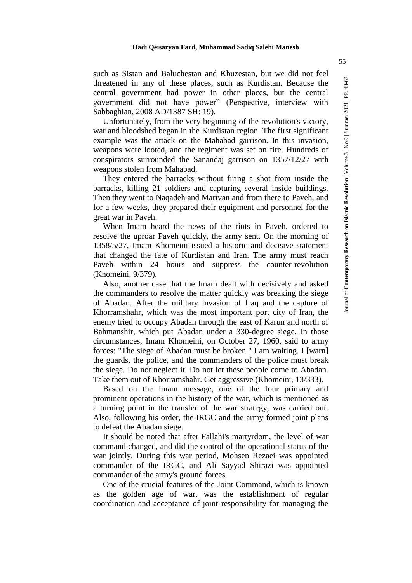such as Sistan and Baluchestan and Khuzestan, but we did not feel threatened in any of these places, such as Kurdistan. Because the central government had power in other places, but the central government did not have power" (Perspective, interview with Sabbaghian, 2008 AD/1387 SH: 19).

Unfortunately, from the very beginning of the revolution's victory, war and bloodshed began in the Kurdistan region. The first significant example was the attack on the Mahabad garrison. In this invasion, weapons were looted, and the regiment was set on fire. Hundreds of conspirators surrounded the Sanandaj garrison on 1357/12/27 with weapons stolen from Mahabad.

They entered the barracks without firing a shot from inside the barracks, killing 21 soldiers and capturing several inside buildings. Then they went to Naqadeh and Marivan and from there to Paveh, and for a few weeks, they prepared their equipment and personnel for the great war in Paveh.

When Imam heard the news of the riots in Paveh, ordered to resolve the uproar Paveh quickly, the army sent. On the morning of 1358/5/27, Imam Khomeini issued a historic and decisive statement that changed the fate of Kurdistan and Iran. The army must reach Paveh within 24 hours and suppress the counter-revolution (Khomeini, 9/379).

Also, another case that the Imam dealt with decisively and asked the commanders to resolve the matter quickly was breaking the siege of Abadan. After the military invasion of Iraq and the capture of Khorramshahr, which was the most important port city of Iran, the enemy tried to occupy Abadan through the east of Karun and north of Bahmanshir, which put Abadan under a 330-degree siege. In those circumstances, Imam Khomeini, on October 27, 1960, said to army forces: "The siege of Abadan must be broken." I am waiting. I [warn] the guards, the police, and the commanders of the police must break the siege. Do not neglect it. Do not let these people come to Abadan. Take them out of Khorramshahr. Get aggressive (Khomeini, 13/333).

Based on the Imam message, one of the four primary and prominent operations in the history of the war, which is mentioned as a turning point in the transfer of the war strategy, was carried out. Also, following his order, the IRGC and the army formed joint plans to defeat the Abadan siege.

It should be noted that after Fallahi's martyrdom, the level of war command changed, and did the control of the operational status of the war jointly. During this war period, Mohsen Rezaei was appointed commander of the IRGC, and Ali Sayyad Shirazi was appointed commander of the army's ground forces.

One of the crucial features of the Joint Command, which is known as the golden age of war, was the establishment of regular coordination and acceptance of joint responsibility for managing the

Journal of **Contemporary Research on Islamic Revolution** | Volume 3 | No.9 | Summer 2021 | PP. 43-62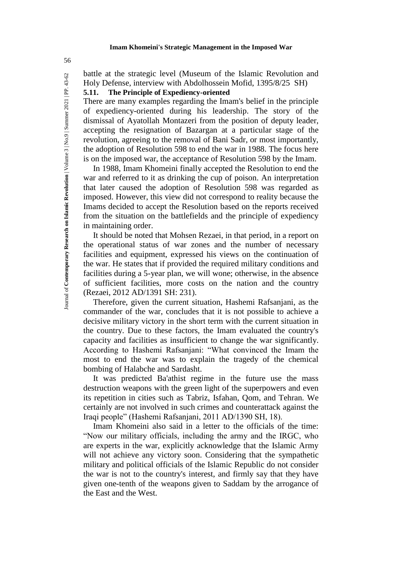battle at the strategic level (Museum of the Islamic Revolution and Holy Defense, interview with Abdolhossein Mofid, 1395/8/25 SH)

**5.11. The Principle of Expediency-oriented**

There are many examples regarding the Imam's belief in the principle of expediency-oriented during his leadership. The story of the dismissal of Ayatollah Montazeri from the position of deputy leader, accepting the resignation of Bazargan at a particular stage of the revolution, agreeing to the removal of Bani Sadr, or most importantly, the adoption of Resolution 598 to end the war in 1988. The focus here is on the imposed war, the acceptance of Resolution 598 by the Imam.

In 1988, Imam Khomeini finally accepted the Resolution to end the war and referred to it as drinking the cup of poison. An interpretation that later caused the adoption of Resolution 598 was regarded as imposed. However, this view did not correspond to reality because the Imams decided to accept the Resolution based on the reports received from the situation on the battlefields and the principle of expediency in maintaining order.

It should be noted that Mohsen Rezaei, in that period, in a report on the operational status of war zones and the number of necessary facilities and equipment, expressed his views on the continuation of the war. He states that if provided the required military conditions and facilities during a 5-year plan, we will wone; otherwise, in the absence of sufficient facilities, more costs on the nation and the country (Rezaei, 2012 AD/1391 SH: 231).

Therefore, given the current situation, Hashemi Rafsanjani, as the commander of the war, concludes that it is not possible to achieve a decisive military victory in the short term with the current situation in the country. Due to these factors, the Imam evaluated the country's capacity and facilities as insufficient to change the war significantly. According to Hashemi Rafsanjani: "What convinced the Imam the most to end the war was to explain the tragedy of the chemical bombing of Halabche and Sardasht.

It was predicted Ba'athist regime in the future use the mass destruction weapons with the green light of the superpowers and even its repetition in cities such as Tabriz, Isfahan, Qom, and Tehran. We certainly are not involved in such crimes and counterattack against the Iraqi people" (Hashemi Rafsanjani, 2011 AD/1390 SH, 18).

Imam Khomeini also said in a letter to the officials of the time: "Now our military officials, including the army and the IRGC, who are experts in the war, explicitly acknowledge that the Islamic Army will not achieve any victory soon. Considering that the sympathetic military and political officials of the Islamic Republic do not consider the war is not to the country's interest, and firmly say that they have given one-tenth of the weapons given to Saddam by the arrogance of the East and the West.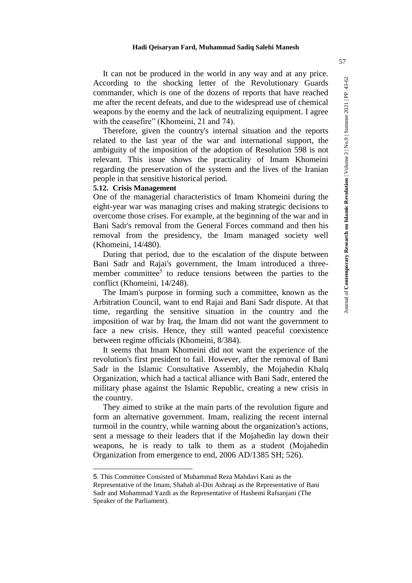#### **Hadi Qeisaryan Fard, Muhammad Sadiq Salehi Manesh**

It can not be produced in the world in any way and at any price. According to the shocking letter of the Revolutionary Guards commander, which is one of the dozens of reports that have reached me after the recent defeats, and due to the widespread use of chemical weapons by the enemy and the lack of neutralizing equipment. I agree with the ceasefire" (Khomeini, 21 and 74).

Therefore, given the country's internal situation and the reports related to the last year of the war and international support, the ambiguity of the imposition of the adoption of Resolution 598 is not relevant. This issue shows the practicality of Imam Khomeini regarding the preservation of the system and the lives of the Iranian people in that sensitive historical period.

#### **5.12. Crisis Management**

1

One of the managerial characteristics of Imam Khomeini during the eight-year war was managing crises and making strategic decisions to overcome those crises. For example, at the beginning of the war and in Bani Sadr's removal from the General Forces command and then his removal from the presidency, the Imam managed society well (Khomeini, 14/480).

During that period, due to the escalation of the dispute between Bani Sadr and Rajai's government, the Imam introduced a threemember committee<sup>5</sup> to reduce tensions between the parties to the conflict (Khomeini, 14/248).

The Imam's purpose in forming such a committee, known as the Arbitration Council, want to end Rajai and Bani Sadr dispute. At that time, regarding the sensitive situation in the country and the imposition of war by Iraq, the Imam did not want the government to face a new crisis. Hence, they still wanted peaceful coexistence between regime officials (Khomeini, 8/384).

It seems that Imam Khomeini did not want the experience of the revolution's first president to fail. However, after the removal of Bani Sadr in the Islamic Consultative Assembly, the Mojahedin Khalq Organization, which had a tactical alliance with Bani Sadr, entered the military phase against the Islamic Republic, creating a new crisis in the country.

They aimed to strike at the main parts of the revolution figure and form an alternative government. Imam, realizing the recent internal turmoil in the country, while warning about the organization's actions, sent a message to their leaders that if the Mojahedin lay down their weapons, he is ready to talk to them as a student (Mojahedin Organization from emergence to end, 2006 AD/1385 SH; 526).

<sup>5</sup>. This Committee Consisted of Muhammad Reza Mahdavi Kani as the

Representative of the Imam, Shahab al-Din Ashraqi as the Representative of Bani Sadr and Mohammad Yazdi as the Representative of Hashemi Rafsanjani (The Speaker of the Parliament).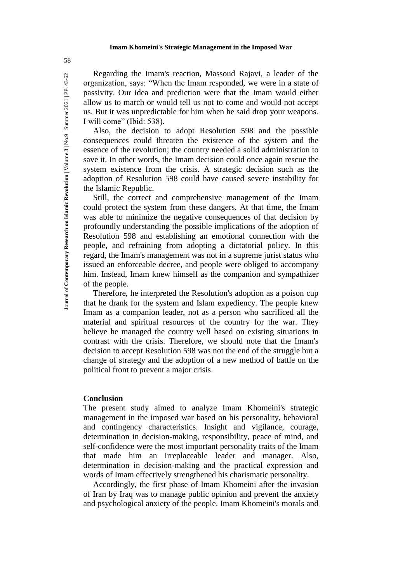Regarding the Imam's reaction, Massoud Rajavi, a leader of the organization, says: "When the Imam responded, we were in a state of passivity. Our idea and prediction were that the Imam would either allow us to march or would tell us not to come and would not accept us. But it was unpredictable for him when he said drop your weapons. I will come" (Ibid: 538).

Also, the decision to adopt Resolution 598 and the possible consequences could threaten the existence of the system and the essence of the revolution; the country needed a solid administration to save it. In other words, the Imam decision could once again rescue the system existence from the crisis. A strategic decision such as the adoption of Resolution 598 could have caused severe instability for the Islamic Republic.

Still, the correct and comprehensive management of the Imam could protect the system from these dangers. At that time, the Imam was able to minimize the negative consequences of that decision by profoundly understanding the possible implications of the adoption of Resolution 598 and establishing an emotional connection with the people, and refraining from adopting a dictatorial policy. In this regard, the Imam's management was not in a supreme jurist status who issued an enforceable decree, and people were obliged to accompany him. Instead, Imam knew himself as the companion and sympathizer of the people.

Therefore, he interpreted the Resolution's adoption as a poison cup that he drank for the system and Islam expediency. The people knew Imam as a companion leader, not as a person who sacrificed all the material and spiritual resources of the country for the war. They believe he managed the country well based on existing situations in contrast with the crisis. Therefore, we should note that the Imam's decision to accept Resolution 598 was not the end of the struggle but a change of strategy and the adoption of a new method of battle on the political front to prevent a major crisis.

#### **Conclusion**

The present study aimed to analyze Imam Khomeini's strategic management in the imposed war based on his personality, behavioral and contingency characteristics. Insight and vigilance, courage, determination in decision-making, responsibility, peace of mind, and self-confidence were the most important personality traits of the Imam that made him an irreplaceable leader and manager. Also, determination in decision-making and the practical expression and words of Imam effectively strengthened his charismatic personality.

Accordingly, the first phase of Imam Khomeini after the invasion of Iran by Iraq was to manage public opinion and prevent the anxiety and psychological anxiety of the people. Imam Khomeini's morals and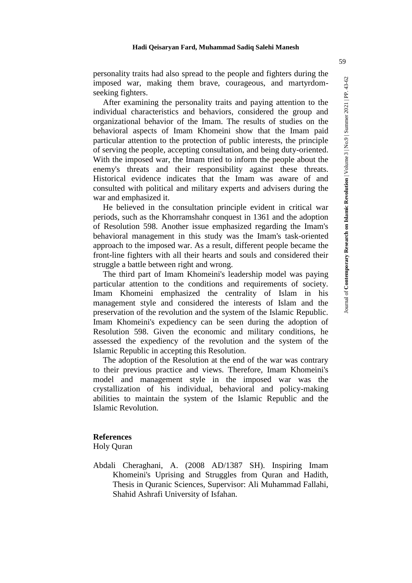personality traits had also spread to the people and fighters during the imposed war, making them brave, courageous, and martyrdomseeking fighters.

After examining the personality traits and paying attention to the individual characteristics and behaviors, considered the group and organizational behavior of the Imam. The results of studies on the behavioral aspects of Imam Khomeini show that the Imam paid particular attention to the protection of public interests, the principle of serving the people, accepting consultation, and being duty-oriented. With the imposed war, the Imam tried to inform the people about the enemy's threats and their responsibility against these threats. Historical evidence indicates that the Imam was aware of and consulted with political and military experts and advisers during the war and emphasized it.

He believed in the consultation principle evident in critical war periods, such as the Khorramshahr conquest in 1361 and the adoption of Resolution 598. Another issue emphasized regarding the Imam's behavioral management in this study was the Imam's task-oriented approach to the imposed war. As a result, different people became the front-line fighters with all their hearts and souls and considered their struggle a battle between right and wrong.

The third part of Imam Khomeini's leadership model was paying particular attention to the conditions and requirements of society. Imam Khomeini emphasized the centrality of Islam in his management style and considered the interests of Islam and the preservation of the revolution and the system of the Islamic Republic. Imam Khomeini's expediency can be seen during the adoption of Resolution 598. Given the economic and military conditions, he assessed the expediency of the revolution and the system of the Islamic Republic in accepting this Resolution.

The adoption of the Resolution at the end of the war was contrary to their previous practice and views. Therefore, Imam Khomeini's model and management style in the imposed war was the crystallization of his individual, behavioral and policy-making abilities to maintain the system of the Islamic Republic and the Islamic Revolution.

### **References**

Holy Quran

Abdali Cheraghani, A. (2008 AD/1387 SH). Inspiring Imam Khomeini's Uprising and Struggles from Quran and Hadith, Thesis in Quranic Sciences, Supervisor: Ali Muhammad Fallahi, Shahid Ashrafi University of Isfahan.

59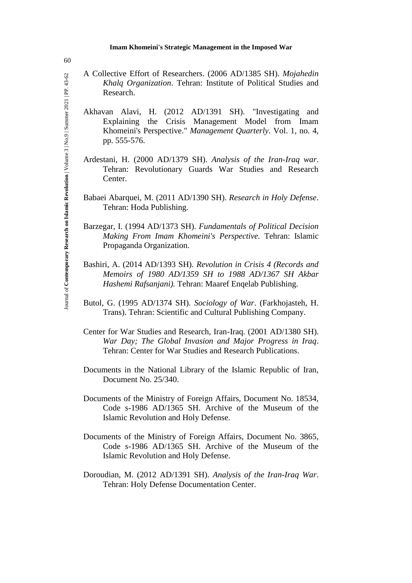- A Collective Effort of Researchers. (2006 AD/1385 SH). *Mojahedin Khalq Organization*. Tehran: Institute of Political Studies and Research.
	- Akhavan Alavi, H. (2012 AD/1391 SH). "Investigating and Explaining the Crisis Management Model from Imam Khomeini's Perspective." *Management Quarterly*. Vol. 1, no. 4, pp. 555-576.
	- Ardestani, H. (2000 AD/1379 SH). *Analysis of the Iran-Iraq war*. Tehran: Revolutionary Guards War Studies and Research Center.
	- Babaei Abarquei, M. (2011 AD/1390 SH). *Research in Holy Defense*. Tehran: Hoda Publishing.
	- Barzegar, I. (1994 AD/1373 SH). *Fundamentals of Political Decision Making From Imam Khomeini's Perspective.* Tehran: Islamic Propaganda Organization.
	- Bashiri, A. (2014 AD/1393 SH). *Revolution in Crisis 4 (Records and Memoirs of 1980 AD/1359 SH to 1988 AD/1367 SH Akbar Hashemi Rafsanjani).* Tehran: Maaref Enqelab Publishing.
	- Butol, G. (1995 AD/1374 SH). *Sociology of War*. (Farkhojasteh, H. Trans). Tehran: Scientific and Cultural Publishing Company.
	- Center for War Studies and Research, Iran-Iraq. (2001 AD/1380 SH). *War Day; The Global Invasion and Major Progress in Iraq*. Tehran: Center for War Studies and Research Publications.
	- Documents in the National Library of the Islamic Republic of Iran, Document No. 25/340.
	- Documents of the Ministry of Foreign Affairs, Document No. 18534, Code s-1986 AD/1365 SH. Archive of the Museum of the Islamic Revolution and Holy Defense.
	- Documents of the Ministry of Foreign Affairs, Document No. 3865, Code s-1986 AD/1365 SH. Archive of the Museum of the Islamic Revolution and Holy Defense.
	- Doroudian, M. (2012 AD/1391 SH). *Analysis of the Iran-Iraq War*. Tehran: Holy Defense Documentation Center.

60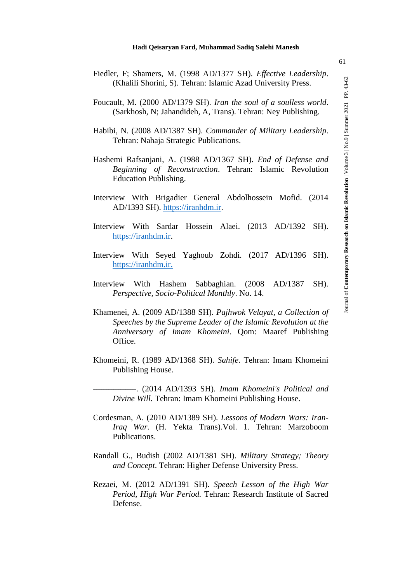|                                                              |  |  |  |  |  |  |  | Fiedler, F; Shamers, M. (1998 AD/1377 SH). Effective Leadership. |
|--------------------------------------------------------------|--|--|--|--|--|--|--|------------------------------------------------------------------|
| (Khalili Shorini, S). Tehran: Islamic Azad University Press. |  |  |  |  |  |  |  |                                                                  |

- Foucault, M. (2000 AD/1379 SH). *Iran the soul of a soulless world*. (Sarkhosh, N; Jahandideh, A, Trans). Tehran: Ney Publishing.
- Habibi, N. (2008 AD/1387 SH). *Commander of Military Leadership*. Tehran: Nahaja Strategic Publications.
- Hashemi Rafsanjani, A. (1988 AD/1367 SH). *End of Defense and Beginning of Reconstruction*. Tehran: Islamic Revolution Education Publishing.
- Interview With Brigadier General Abdolhossein Mofid. (2014 AD/1393 SH). https://iranhdm.ir.
- Interview With Sardar Hossein Alaei. (2013 AD/1392 SH). https://iranhdm.ir.
- Interview With Seyed Yaghoub Zohdi. (2017 AD/1396 SH). https://iranhdm.ir.
- Interview With Hashem Sabbaghian. (2008 AD/1387 SH). *Perspective, Socio-Political Monthly*. No. 14.
- Khamenei, A. (2009 AD/1388 SH). *Pajhwok Velayat, a Collection of Speeches by the Supreme Leader of the Islamic Revolution at the Anniversary of Imam Khomeini*. Qom: Maaref Publishing Office.
- Khomeini, R. (1989 AD/1368 SH). *Sahife*. Tehran: Imam Khomeini Publishing House.
	- ـــــــــــــــــــــــــ.) 2014 AD/1393 SH). *Imam Khomeini's Political and Divine Will.* Tehran: Imam Khomeini Publishing House.
- Cordesman, A. (2010 AD/1389 SH). *Lessons of Modern Wars: Iran-Iraq War*. (H. Yekta Trans).Vol. 1. Tehran: Marzoboom Publications.
- Randall G., Budish (2002 AD/1381 SH). *Military Strategy; Theory and Concept*. Tehran: Higher Defense University Press.
- Rezaei, M. (2012 AD/1391 SH). *Speech Lesson of the High War Period, High War Period.* Tehran: Research Institute of Sacred Defense.

Journal of **Contemporary Research on Islamic Revolution** | Volume 3 | No.9 | Summer 2021 | PP. 43-62